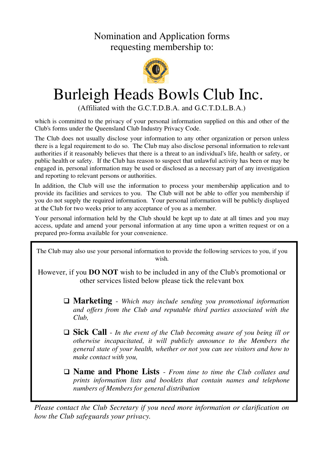Nomination and Application forms requesting membership to:



# Burleigh Heads Bowls Club Inc.

(Affiliated with the G.C.T.D.B.A. and G.C.T.D.L.B.A.)

which is committed to the privacy of your personal information supplied on this and other of the Club's forms under the Queensland Club Industry Privacy Code.

The Club does not usually disclose your information to any other organization or person unless there is a legal requirement to do so. The Club may also disclose personal information to relevant authorities if it reasonably believes that there is a threat to an individual's life, health or safety, or public health or safety. If the Club has reason to suspect that unlawful activity has been or may be engaged in, personal information may be used or disclosed as a necessary part of any investigation and reporting to relevant persons or authorities.

In addition, the Club will use the information to process your membership application and to provide its facilities and services to you. The Club will not be able to offer you membership if you do not supply the required information. Your personal information will be publicly displayed at the Club for two weeks prior to any acceptance of you as a member.

Your personal information held by the Club should be kept up to date at all times and you may access, update and amend your personal information at any time upon a written request or on a prepared pro-forma available for your convenience.

The Club may also use your personal information to provide the following services to you, if you wish.

However, if you **DO NOT** wish to be included in any of the Club's promotional or other services listed below please tick the relevant box

- **Marketing** *Which may include sending you promotional information and offers from the Club and reputable third parties associated with the Club,*
- **Sick Call** *In the event of the Club becoming aware of you being ill or otherwise incapacitated, it will publicly announce to the Members the general state of your health, whether or not you can see visitors and how to make contact with you,*
- **Name and Phone Lists** *From time to time the Club collates and prints information lists and booklets that contain names and telephone numbers of Members for general distribution*

*Please contact the Club Secretary if you need more information or clarification on how the Club safeguards your privacy.*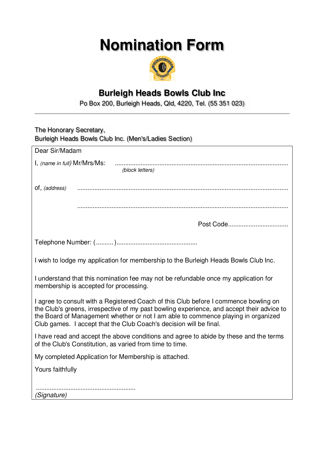# **Nomination Form**



## **Burleigh Heads Bowls Club Inc**

Po Box 200, Burleigh Heads, Qld, 4220, Tel. (55 351 023)

| The Honorary Secretary,<br>Burleigh Heads Bowls Club Inc. (Men's/Ladies Section)                                                                                                                                                                                                                                                             |
|----------------------------------------------------------------------------------------------------------------------------------------------------------------------------------------------------------------------------------------------------------------------------------------------------------------------------------------------|
|                                                                                                                                                                                                                                                                                                                                              |
| Dear Sir/Madam                                                                                                                                                                                                                                                                                                                               |
| (block letters)                                                                                                                                                                                                                                                                                                                              |
| of, (address)                                                                                                                                                                                                                                                                                                                                |
|                                                                                                                                                                                                                                                                                                                                              |
|                                                                                                                                                                                                                                                                                                                                              |
|                                                                                                                                                                                                                                                                                                                                              |
| I wish to lodge my application for membership to the Burleigh Heads Bowls Club Inc.                                                                                                                                                                                                                                                          |
| I understand that this nomination fee may not be refundable once my application for<br>membership is accepted for processing.                                                                                                                                                                                                                |
| I agree to consult with a Registered Coach of this Club before I commence bowling on<br>the Club's greens, irrespective of my past bowling experience, and accept their advice to<br>the Board of Management whether or not I am able to commence playing in organized<br>Club games. I accept that the Club Coach's decision will be final. |
| I have read and accept the above conditions and agree to abide by these and the terms<br>of the Club's Constitution, as varied from time to time.                                                                                                                                                                                            |
| My completed Application for Membership is attached.                                                                                                                                                                                                                                                                                         |
| Yours faithfully                                                                                                                                                                                                                                                                                                                             |
| (Signature)                                                                                                                                                                                                                                                                                                                                  |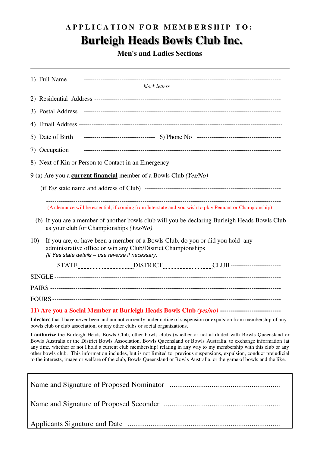## A P P L I C A T I O N F O R M E M B E R S H I P T O :  **Burleigh Heads Bowls Club Inc.**

**Men's and Ladies Sections**

1) Full Name ----------------------------------------------------------------------------------------------

| block letters                                                                                                                                                                                                                                                                                                                                                                                                                                                                                                                                                                                                           |
|-------------------------------------------------------------------------------------------------------------------------------------------------------------------------------------------------------------------------------------------------------------------------------------------------------------------------------------------------------------------------------------------------------------------------------------------------------------------------------------------------------------------------------------------------------------------------------------------------------------------------|
|                                                                                                                                                                                                                                                                                                                                                                                                                                                                                                                                                                                                                         |
|                                                                                                                                                                                                                                                                                                                                                                                                                                                                                                                                                                                                                         |
|                                                                                                                                                                                                                                                                                                                                                                                                                                                                                                                                                                                                                         |
|                                                                                                                                                                                                                                                                                                                                                                                                                                                                                                                                                                                                                         |
| 7) Occupation                                                                                                                                                                                                                                                                                                                                                                                                                                                                                                                                                                                                           |
|                                                                                                                                                                                                                                                                                                                                                                                                                                                                                                                                                                                                                         |
|                                                                                                                                                                                                                                                                                                                                                                                                                                                                                                                                                                                                                         |
|                                                                                                                                                                                                                                                                                                                                                                                                                                                                                                                                                                                                                         |
| (A clearance will be essential, if coming from Interstate and you wish to play Pennant or Championship)                                                                                                                                                                                                                                                                                                                                                                                                                                                                                                                 |
| (b) If you are a member of another bowls club will you be declaring Burleigh Heads Bowls Club<br>as your club for Championships (Yes/No)                                                                                                                                                                                                                                                                                                                                                                                                                                                                                |
| 10)<br>If you are, or have been a member of a Bowls Club, do you or did you hold any<br>administrative office or win any Club/District Championships<br>(If Yes state details - use reverse if necessary)                                                                                                                                                                                                                                                                                                                                                                                                               |
|                                                                                                                                                                                                                                                                                                                                                                                                                                                                                                                                                                                                                         |
|                                                                                                                                                                                                                                                                                                                                                                                                                                                                                                                                                                                                                         |
|                                                                                                                                                                                                                                                                                                                                                                                                                                                                                                                                                                                                                         |
|                                                                                                                                                                                                                                                                                                                                                                                                                                                                                                                                                                                                                         |
|                                                                                                                                                                                                                                                                                                                                                                                                                                                                                                                                                                                                                         |
| 11) Are you a Social Member at Burleigh Heads Bowls Club (yes/no) ----------------------------------                                                                                                                                                                                                                                                                                                                                                                                                                                                                                                                    |
| I declare that I have never been and am not currently under notice of suspension or expulsion from membership of any<br>bowls club or club association, or any other clubs or social organizations.                                                                                                                                                                                                                                                                                                                                                                                                                     |
| I authorize the Burleigh Heads Bowls Club, other bowls clubs (whether or not affiliated with Bowls Queensland or<br>Bowls Australia or the District Bowls Association, Bowls Queensland or Bowls Australia. to exchange information (at<br>any time, whether or not I hold a current club membership) relating in any way to my membership with this club or any<br>other bowls club. This information includes, but is not limited to, previous suspensions, expulsion, conduct prejudicial<br>to the interests, image or welfare of the club, Bowls Queensland or Bowls Australia. or the game of bowls and the like. |
|                                                                                                                                                                                                                                                                                                                                                                                                                                                                                                                                                                                                                         |
|                                                                                                                                                                                                                                                                                                                                                                                                                                                                                                                                                                                                                         |
|                                                                                                                                                                                                                                                                                                                                                                                                                                                                                                                                                                                                                         |